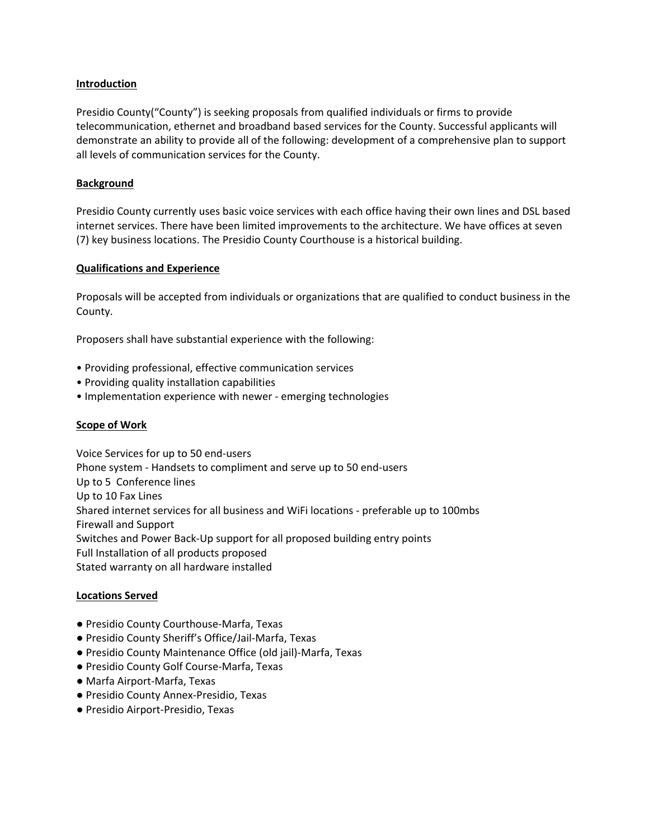## **Introduction**

Presidio County("County") is seeking proposals from qualified individuals or firms to provide telecommunication, ethernet and broadband based services for the County. Successful applicants will demonstrate an ability to provide all of the following: development of a comprehensive plan to support all levels of communication services for the County.

### **Background**

Presidio County currently uses basic voice services with each office having their own lines and DSL based internet services. There have been limited improvements to the architecture. We have offices at seven (7) key business locations. The Presidio County Courthouse is a historical building.

### **Qualifications and Experience**

Proposals will be accepted from individuals or organizations that are qualified to conduct business in the County.

Proposers shall have substantial experience with the following:

- Providing professional, effective communication services
- Providing quality installation capabilities
- Implementation experience with newer ‐ emerging technologies

## **Scope of Work**

Voice Services for up to 50 end‐users Phone system ‐ Handsets to compliment and serve up to 50 end‐users Up to 5 Conference lines Up to 10 Fax Lines Shared internet services for all business and WiFi locations ‐ preferable up to 100mbs Firewall and Support Switches and Power Back‐Up support for all proposed building entry points Full Installation of all products proposed Stated warranty on all hardware installed

#### **Locations Served**

- Presidio County Courthouse-Marfa, Texas
- Presidio County Sheriff's Office/Jail-Marfa, Texas
- Presidio County Maintenance Office (old jail)-Marfa, Texas
- Presidio County Golf Course-Marfa, Texas
- Marfa Airport-Marfa, Texas
- Presidio County Annex-Presidio, Texas
- Presidio Airport-Presidio, Texas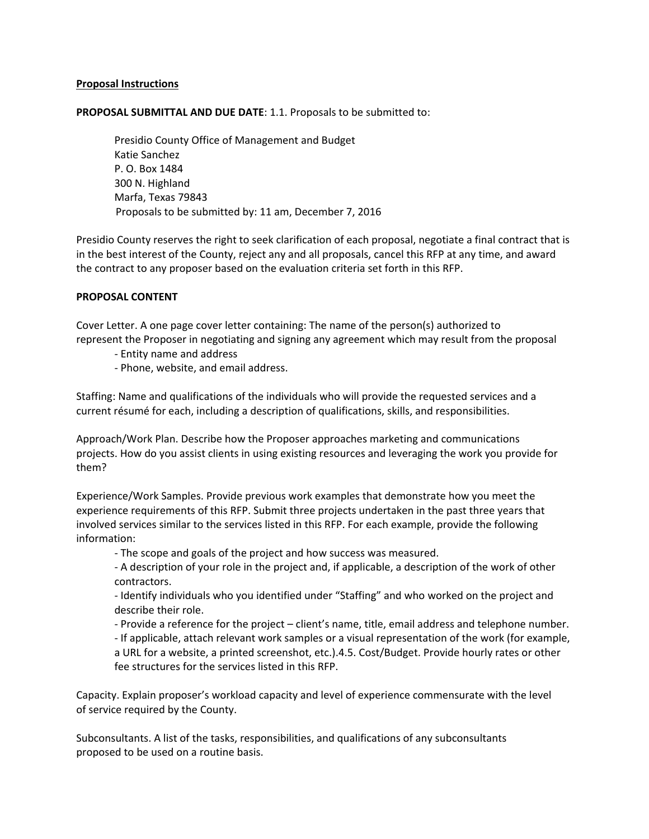## **Proposal Instructions**

#### **PROPOSAL SUBMITTAL AND DUE DATE**: 1.1. Proposals to be submitted to:

Presidio County Office of Management and Budget Katie Sanchez P. O. Box 1484 300 N. Highland Marfa, Texas 79843 Proposals to be submitted by: 11 am, December 7, 2016

Presidio County reserves the right to seek clarification of each proposal, negotiate a final contract that is in the best interest of the County, reject any and all proposals, cancel this RFP at any time, and award the contract to any proposer based on the evaluation criteria set forth in this RFP.

### **PROPOSAL CONTENT**

Cover Letter. A one page cover letter containing: The name of the person(s) authorized to represent the Proposer in negotiating and signing any agreement which may result from the proposal

- ‐ Entity name and address
- ‐ Phone, website, and email address.

Staffing: Name and qualifications of the individuals who will provide the requested services and a current résumé for each, including a description of qualifications, skills, and responsibilities.

Approach/Work Plan. Describe how the Proposer approaches marketing and communications projects. How do you assist clients in using existing resources and leveraging the work you provide for them?

Experience/Work Samples. Provide previous work examples that demonstrate how you meet the experience requirements of this RFP. Submit three projects undertaken in the past three years that involved services similar to the services listed in this RFP. For each example, provide the following information:

‐ The scope and goals of the project and how success was measured.

‐ A description of your role in the project and, if applicable, a description of the work of other contractors.

‐ Identify individuals who you identified under "Staffing" and who worked on the project and describe their role.

‐ Provide a reference for the project – client's name, title, email address and telephone number.

‐ If applicable, attach relevant work samples or a visual representation of the work (for example, a URL for a website, a printed screenshot, etc.).4.5. Cost/Budget. Provide hourly rates or other fee structures for the services listed in this RFP.

Capacity. Explain proposer's workload capacity and level of experience commensurate with the level of service required by the County.

Subconsultants. A list of the tasks, responsibilities, and qualifications of any subconsultants proposed to be used on a routine basis.